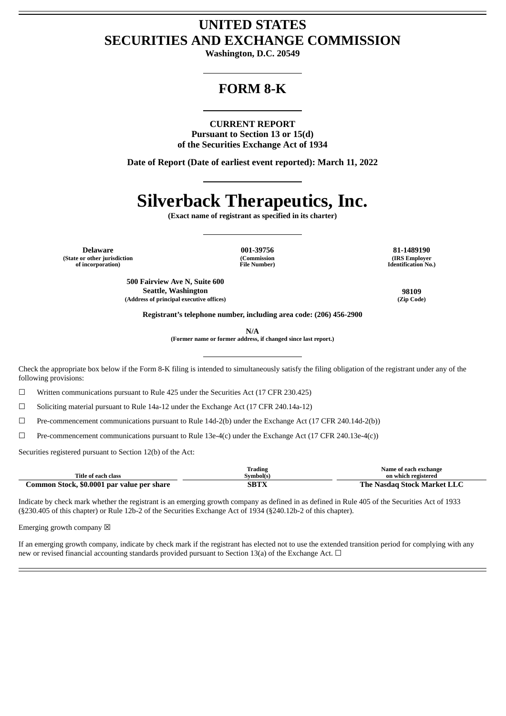## **UNITED STATES SECURITIES AND EXCHANGE COMMISSION**

**Washington, D.C. 20549**

## **FORM 8-K**

#### **CURRENT REPORT**

**Pursuant to Section 13 or 15(d) of the Securities Exchange Act of 1934**

**Date of Report (Date of earliest event reported): March 11, 2022**

# **Silverback Therapeutics, Inc.**

**(Exact name of registrant as specified in its charter)**

**Delaware 001-39756 81-1489190 (State or other jurisdiction of incorporation)**

**(Commission File Number)**

**(IRS Employer Identification No.)**

**500 Fairview Ave N, Suite 600 Seattle, Washington 98109 (Address of principal executive offices) (Zip Code)**

**Registrant's telephone number, including area code: (206) 456-2900**

**N/A**

**(Former name or former address, if changed since last report.)**

Check the appropriate box below if the Form 8-K filing is intended to simultaneously satisfy the filing obligation of the registrant under any of the following provisions:

☐ Written communications pursuant to Rule 425 under the Securities Act (17 CFR 230.425)

☐ Soliciting material pursuant to Rule 14a-12 under the Exchange Act (17 CFR 240.14a-12)

☐ Pre-commencement communications pursuant to Rule 14d-2(b) under the Exchange Act (17 CFR 240.14d-2(b))

 $\Box$  Pre-commencement communications pursuant to Rule 13e-4(c) under the Exchange Act (17 CFR 240.13e-4(c))

Securities registered pursuant to Section 12(b) of the Act:

|                                            | Trading   | Name of each exchange       |
|--------------------------------------------|-----------|-----------------------------|
| Title of each class                        | Svmbol(s` | on which registered         |
| Common Stock, \$0.0001 par value per share | SBTX      | The Nasdag Stock Market LLC |

Indicate by check mark whether the registrant is an emerging growth company as defined in as defined in Rule 405 of the Securities Act of 1933 (§230.405 of this chapter) or Rule 12b-2 of the Securities Exchange Act of 1934 (§240.12b-2 of this chapter).

Emerging growth company  $\boxtimes$ 

If an emerging growth company, indicate by check mark if the registrant has elected not to use the extended transition period for complying with any new or revised financial accounting standards provided pursuant to Section 13(a) of the Exchange Act.  $\Box$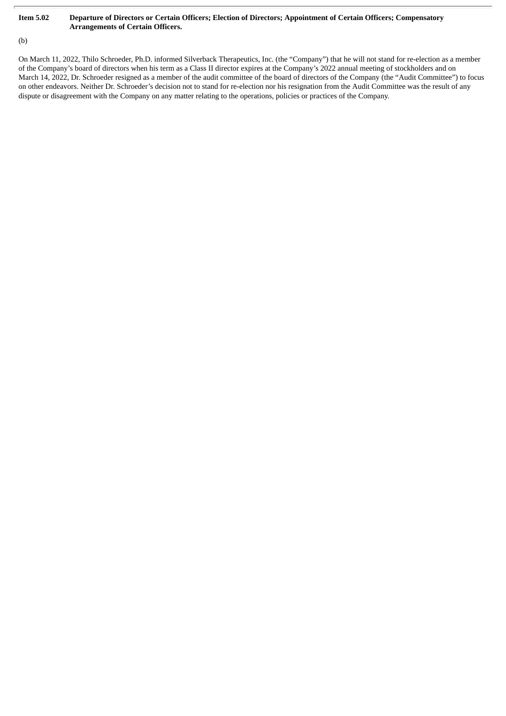### Item 5.02 Departure of Directors or Certain Officers; Election of Directors; Appointment of Certain Officers; Compensatory **Arrangements of Certain Officers.**

### (b)

On March 11, 2022, Thilo Schroeder, Ph.D. informed Silverback Therapeutics, Inc. (the "Company") that he will not stand for re-election as a member of the Company's board of directors when his term as a Class II director expires at the Company's 2022 annual meeting of stockholders and on March 14, 2022, Dr. Schroeder resigned as a member of the audit committee of the board of directors of the Company (the "Audit Committee") to focus on other endeavors. Neither Dr. Schroeder's decision not to stand for re-election nor his resignation from the Audit Committee was the result of any dispute or disagreement with the Company on any matter relating to the operations, policies or practices of the Company.